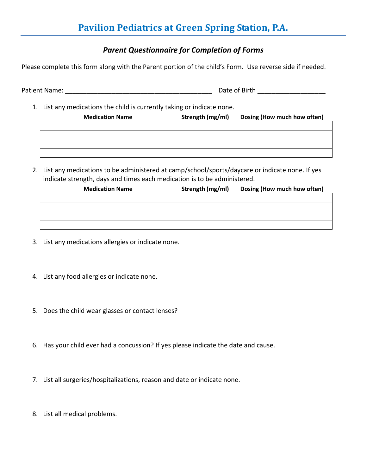## *Parent Questionnaire for Completion of Forms*

Please complete this form along with the Parent portion of the child's Form. Use reverse side if needed.

Patient Name: \_\_\_\_\_\_\_\_\_\_\_\_\_\_\_\_\_\_\_\_\_\_\_\_\_\_\_\_\_\_\_\_\_\_\_\_\_\_\_\_\_ Date of Birth \_\_\_\_\_\_\_\_\_\_\_\_\_\_\_\_\_\_\_

1. List any medications the child is currently taking or indicate none.

| <b>Medication Name</b> | Strength (mg/ml) | Dosing (How much how often) |
|------------------------|------------------|-----------------------------|
|                        |                  |                             |
|                        |                  |                             |
|                        |                  |                             |
|                        |                  |                             |

2. List any medications to be administered at camp/school/sports/daycare or indicate none. If yes indicate strength, days and times each medication is to be administered.

| <b>Medication Name</b> | Strength (mg/ml) | Dosing (How much how often) |
|------------------------|------------------|-----------------------------|
|                        |                  |                             |
|                        |                  |                             |
|                        |                  |                             |
|                        |                  |                             |

- 3. List any medications allergies or indicate none.
- 4. List any food allergies or indicate none.
- 5. Does the child wear glasses or contact lenses?
- 6. Has your child ever had a concussion? If yes please indicate the date and cause.
- 7. List all surgeries/hospitalizations, reason and date or indicate none.
- 8. List all medical problems.